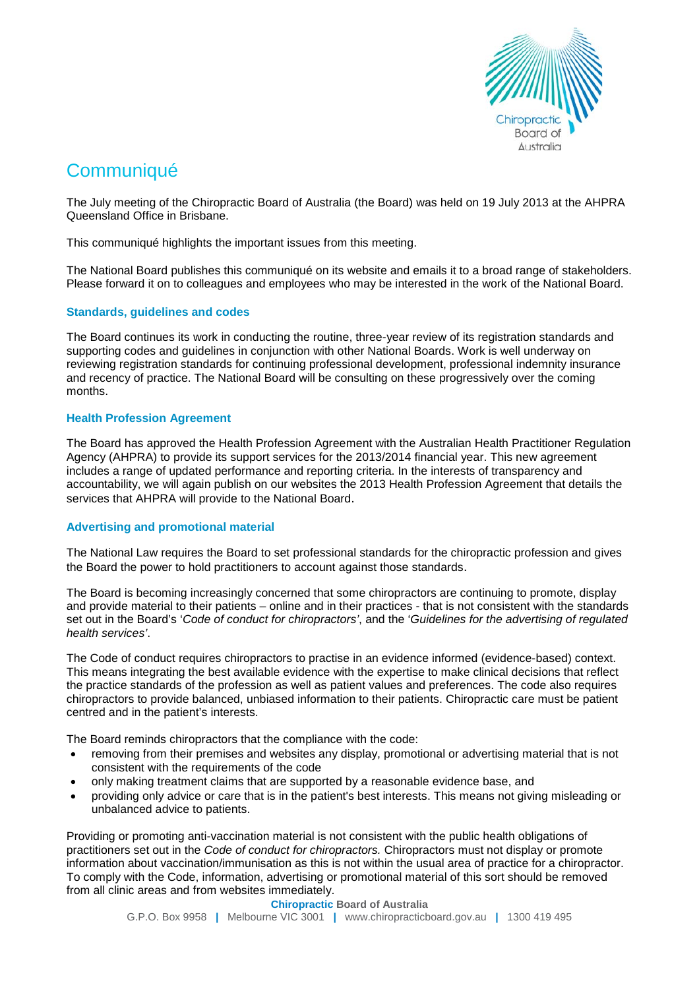

# **Communiqué**

The July meeting of the Chiropractic Board of Australia (the Board) was held on 19 July 2013 at the AHPRA Queensland Office in Brisbane.

This communiqué highlights the important issues from this meeting.

The National Board publishes this communiqué on its website and emails it to a broad range of stakeholders. Please forward it on to colleagues and employees who may be interested in the work of the National Board.

# **Standards, guidelines and codes**

The Board continues its work in conducting the routine, three-year review of its registration standards and supporting codes and guidelines in conjunction with other National Boards. Work is well underway on reviewing registration standards for continuing professional development, professional indemnity insurance and recency of practice. The National Board will be consulting on these progressively over the coming months.

# **Health Profession Agreement**

The Board has approved the Health Profession Agreement with the Australian Health Practitioner Regulation Agency (AHPRA) to provide its support services for the 2013/2014 financial year. This new agreement includes a range of updated performance and reporting criteria. In the interests of transparency and accountability, we will again publish on our websites the 2013 Health Profession Agreement that details the services that AHPRA will provide to the National Board.

### **Advertising and promotional material**

The National Law requires the Board to set professional standards for the chiropractic profession and gives the Board the power to hold practitioners to account against those standards.

The Board is becoming increasingly concerned that some chiropractors are continuing to promote, display and provide material to their patients – online and in their practices - that is not consistent with the standards set out in the Board's '*Code of conduct for chiropractors'*, and the '*Guidelines for the advertising of regulated health services'*.

The Code of conduct requires chiropractors to practise in an evidence informed (evidence-based) context. This means integrating the best available evidence with the expertise to make clinical decisions that reflect the practice standards of the profession as well as patient values and preferences. The code also requires chiropractors to provide balanced, unbiased information to their patients. Chiropractic care must be patient centred and in the patient's interests.

The Board reminds chiropractors that the compliance with the code:

- removing from their premises and websites any display, promotional or advertising material that is not consistent with the requirements of the code
- only making treatment claims that are supported by a reasonable evidence base, and
- providing only advice or care that is in the patient's best interests. This means not giving misleading or unbalanced advice to patients.

Providing or promoting anti-vaccination material is not consistent with the public health obligations of practitioners set out in the *Code of conduct for chiropractors.* Chiropractors must not display or promote information about vaccination/immunisation as this is not within the usual area of practice for a chiropractor. To comply with the Code, information, advertising or promotional material of this sort should be removed from all clinic areas and from websites immediately.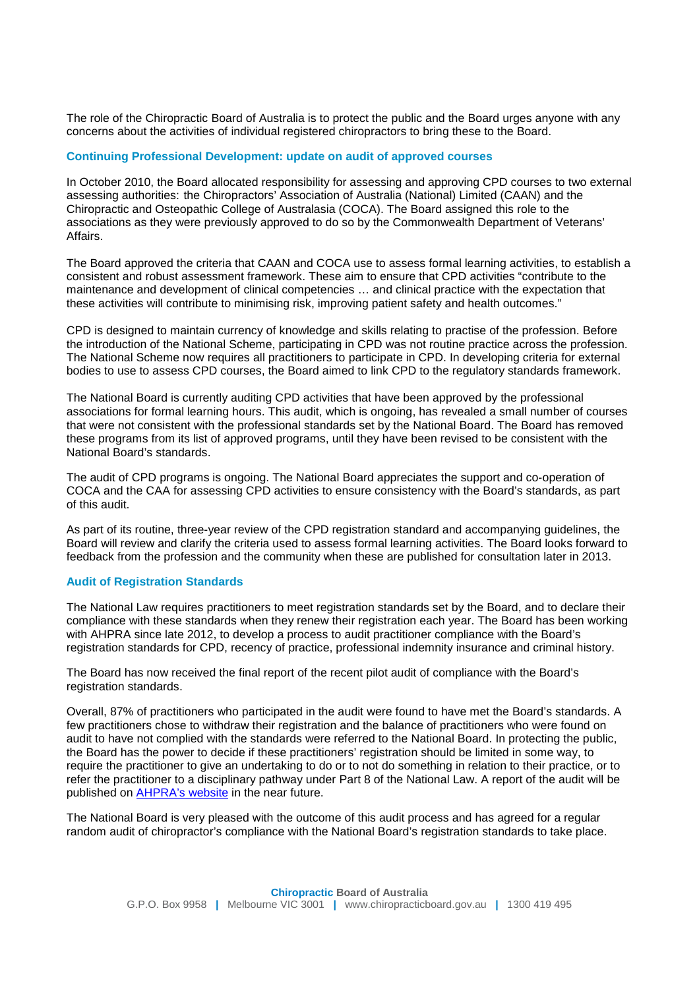The role of the Chiropractic Board of Australia is to protect the public and the Board urges anyone with any concerns about the activities of individual registered chiropractors to bring these to the Board.

#### **Continuing Professional Development: update on audit of approved courses**

In October 2010, the Board allocated responsibility for assessing and approving CPD courses to two external assessing authorities: the Chiropractors' Association of Australia (National) Limited (CAAN) and the Chiropractic and Osteopathic College of Australasia (COCA). The Board assigned this role to the associations as they were previously approved to do so by the Commonwealth Department of Veterans' Affairs.

The Board approved the criteria that CAAN and COCA use to assess formal learning activities, to establish a consistent and robust assessment framework. These aim to ensure that CPD activities "contribute to the maintenance and development of clinical competencies … and clinical practice with the expectation that these activities will contribute to minimising risk, improving patient safety and health outcomes."

CPD is designed to maintain currency of knowledge and skills relating to practise of the profession. Before the introduction of the National Scheme, participating in CPD was not routine practice across the profession. The National Scheme now requires all practitioners to participate in CPD. In developing criteria for external bodies to use to assess CPD courses, the Board aimed to link CPD to the regulatory standards framework.

The National Board is currently auditing CPD activities that have been approved by the professional associations for formal learning hours. This audit, which is ongoing, has revealed a small number of courses that were not consistent with the professional standards set by the National Board. The Board has removed these programs from its list of approved programs, until they have been revised to be consistent with the National Board's standards.

The audit of CPD programs is ongoing. The National Board appreciates the support and co-operation of COCA and the CAA for assessing CPD activities to ensure consistency with the Board's standards, as part of this audit.

As part of its routine, three-year review of the CPD registration standard and accompanying guidelines, the Board will review and clarify the criteria used to assess formal learning activities. The Board looks forward to feedback from the profession and the community when these are published for consultation later in 2013.

#### **Audit of Registration Standards**

The National Law requires practitioners to meet registration standards set by the Board, and to declare their compliance with these standards when they renew their registration each year. The Board has been working with AHPRA since late 2012, to develop a process to audit practitioner compliance with the Board's registration standards for CPD, recency of practice, professional indemnity insurance and criminal history.

The Board has now received the final report of the recent pilot audit of compliance with the Board's registration standards.

Overall, 87% of practitioners who participated in the audit were found to have met the Board's standards. A few practitioners chose to withdraw their registration and the balance of practitioners who were found on audit to have not complied with the standards were referred to the National Board. In protecting the public, the Board has the power to decide if these practitioners' registration should be limited in some way, to require the practitioner to give an undertaking to do or to not do something in relation to their practice, or to refer the practitioner to a disciplinary pathway under Part 8 of the National Law. A report of the audit will be published on **AHPRA's website** in the near future.

The National Board is very pleased with the outcome of this audit process and has agreed for a regular random audit of chiropractor's compliance with the National Board's registration standards to take place.